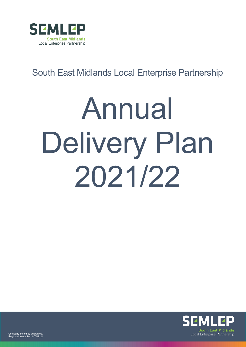

## South East Midlands Local Enterprise Partnership

# Annual Delivery Plan 2021/22

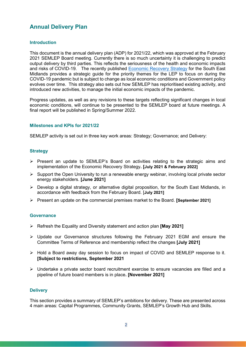### **Annual Delivery Plan**

#### **Introduction**

This document is the annual delivery plan (ADP) for 2021/22, which was approved at the February 2021 SEMLEP Board meeting. Currently there is so much uncertainty it is challenging to predict output delivery by third parties. This reflects the seriousness of the health and economic impacts and risks of COVID-19. The recently published [Economic Recovery Strategy](https://www.semlep.com/modules/downloads/download.php?file_name=2206) for the South East Midlands provides a strategic guide for the priority themes for the LEP to focus on during the COVID-19 pandemic but is subject to change as local economic conditions and Government policy evolves over time. This strategy also sets out how SEMLEP has reprioritised existing activity, and introduced new activities, to manage the initial economic impacts of the pandemic.

Progress updates, as well as any revisions to these targets reflecting significant changes in local economic conditions, will continue to be presented to the SEMLEP board at future meetings. A final report will be published in Spring/Summer 2022.

#### **Milestones and KPIs for 2021/22**

SEMLEP activity is set out in three key work areas: Strategy; Governance; and Delivery:

#### **Strategy**

- $\triangleright$  Present an update to SEMLEP's Board on activities relating to the strategic aims and implementation of the Economic Recovery Strategy**. [July 2021 & February 2022]**
- $\triangleright$  Support the Open University to run a renewable energy webinar, involving local private sector energy stakeholders. **[June 2021]**
- $\triangleright$  Develop a digital strategy, or alternative digital proposition, for the South East Midlands, in accordance with feedback from the February Board. [**July 2021]**
- Present an update on the commercial premises market to the Board. **[September 2021]**

#### **Governance**

- Refresh the Equality and Diversity statement and action plan **[May 2021]**
- Update our Governance structures following the February 2021 EGM and ensure the Committee Terms of Reference and membership reflect the changes **[July 2021]**
- Hold a Board away day session to focus on impact of COVID and SEMLEP response to it. **[Subject to restrictions, September 2021**
- $\triangleright$  Undertake a private sector board recruitment exercise to ensure vacancies are filled and a pipeline of future board members is in place**. [November 2021]**

#### **Delivery**

This section provides a summary of SEMLEP's ambitions for delivery. These are presented across 4 main areas: Capital Programmes, Community Grants, SEMLEP's Growth Hub and Skills.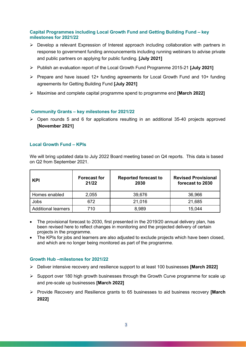#### **Capital Programmes including Local Growth Fund and Getting Building Fund – key milestones for 2021/22**

- $\triangleright$  Develop a relevant Expression of Interest approach including collaboration with partners in response to government funding announcements including running webinars to advise private and public partners on applying for public funding. **[July 2021]**
- Publish an evaluation report of the Local Growth Fund Programme 2015-21 **[July 2021]**
- $\triangleright$  Prepare and have issued 12+ funding agreements for Local Growth Fund and 10+ funding agreements for Getting Building Fund **[July 2021]**
- Maximise and complete capital programme spend to programme end **[March 2022]**

#### **Community Grants – key milestones for 2021/22**

 $\triangleright$  Open rounds 5 and 6 for applications resulting in an additional 35-40 projects approved **[November 2021]**

#### **Local Growth Fund – KPIs**

We will bring updated data to July 2022 Board meeting based on Q4 reports. This data is based on Q2 from September 2021.

| <b>KPI</b>                 | <b>Forecast for</b><br>21/22 | <b>Reported forecast to</b><br>2030 | <b>Revised Provisional</b><br>forecast to 2030 |
|----------------------------|------------------------------|-------------------------------------|------------------------------------------------|
| Homes enabled              | 2,055                        | 39,676                              | 36,966                                         |
| Jobs                       | 672                          | 21,016                              | 21,685                                         |
| <b>Additional learners</b> | 710                          | 8,989                               | 15,044                                         |

- The provisional forecast to 2030, first presented in the 2019/20 annual delivery plan, has been revised here to reflect changes in monitoring and the projected delivery of certain projects in the programme.
- The KPIs for jobs and learners are also adjusted to exclude projects which have been closed, and which are no longer being monitored as part of the programme.

#### **Growth Hub –milestones for 2021/22**

- Deliver intensive recovery and resilience support to at least 100 businesses **[March 2022]**
- $\triangleright$  Support over 180 high growth businesses through the Growth Curve programme for scale up and pre-scale up businesses **[March 2022]**
- Provide Recovery and Resilience grants to 65 businesses to aid business recovery **[March 2022]**